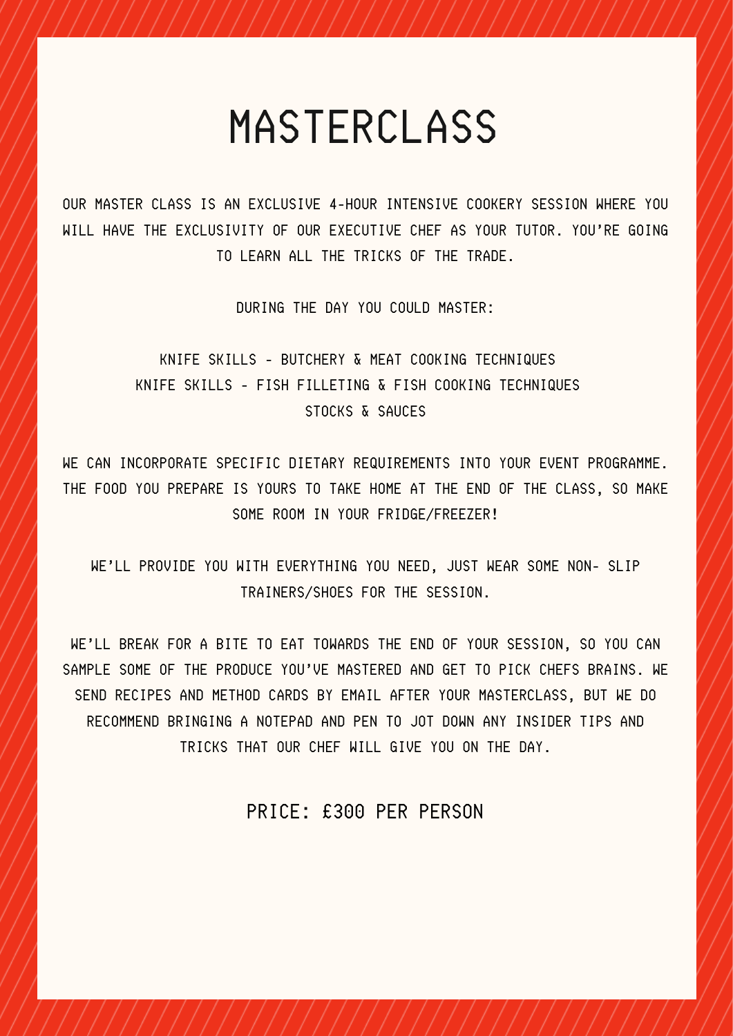## MASTERCLASS

OUR MASTER CLASS IS AN EXCLUSIVE 4-HOUR INTENSIVE COOKERY SESSION WHERE YOU WILL HAVE THE EXCLUSIVITY OF OUR EXECUTIVE CHEF AS YOUR TUTOR. YOU'RE GOING TO LEARN ALL THE TRICKS OF THE TRADE.

DURING THE DAY YOU COULD MASTER:

KNIFE SKILLS - BUTCHERY & MEAT COOKING TECHNIQUES KNIFE SKILLS - FISH FILLETING & FISH COOKING TECHNIQUES STOCKS & SAUCES

WE CAN INCORPORATE SPECIFIC DIETARY REQUIREMENTS INTO YOUR EVENT PROGRAMME. THE FOOD YOU PREPARE IS YOURS TO TAKE HOME AT THE END OF THE CLASS, SO MAKE SOME ROOM IN YOUR FRIDGE/FREEZER!

WE'LL PROVIDE YOU WITH EVERYTHING YOU NEED, JUST WEAR SOME NON- SLIP TRAINERS/SHOES FOR THE SESSION.

WE'LL BREAK FOR A BITE TO EAT TOWARDS THE END OF YOUR SESSION, SO YOU CAN SAMPLE SOME OF THE PRODUCE YOU'VE MASTERED AND GET TO PICK CHEFS BRAINS. WE SEND RECIPES AND METHOD CARDS BY EMAIL AFTER YOUR MASTERCLASS, BUT WE DO RECOMMEND BRINGING A NOTEPAD AND PEN TO JOT DOWN ANY INSIDER TIPS AND TRICKS THAT OUR CHEF WILL GIVE YOU ON THE DAY.

PRICE: £300 PER PERSON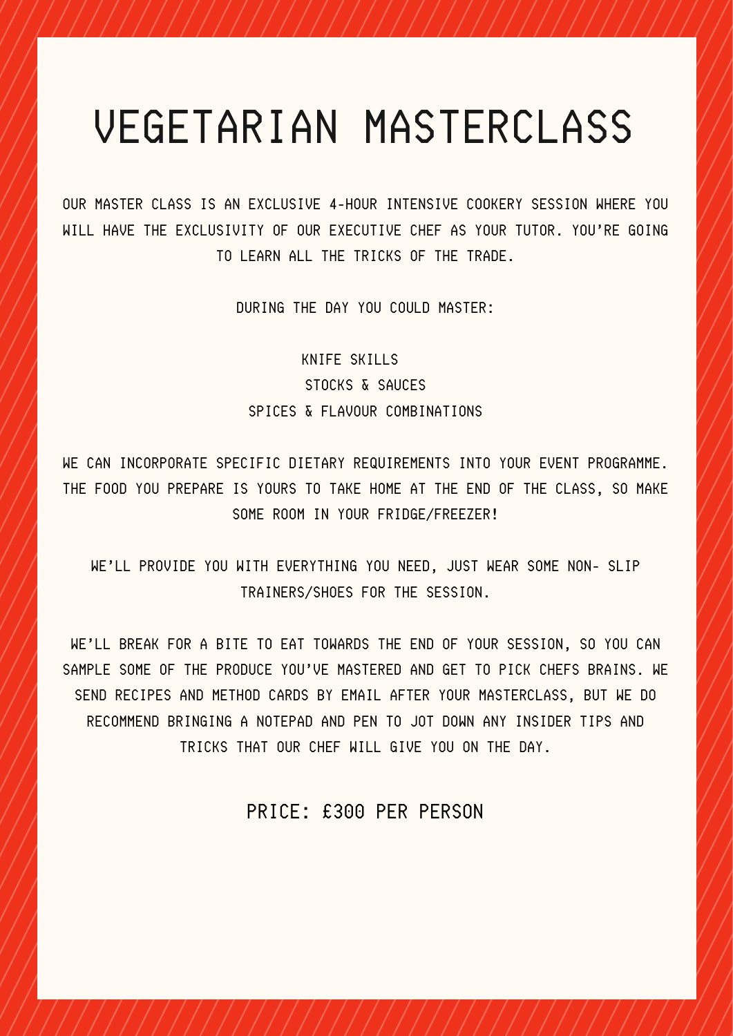## VEGETARIAN MASTERCLASS

OUR MASTER CLASS IS AN EXCLUSIVE 4-HOUR INTENSIVE COOKERY SESSION WHERE YOU WILL HAVE THE EXCLUSIVITY OF OUR EXECUTIVE CHEF AS YOUR TUTOR. YOU'RE GOING TO LEARN ALL THE TRICKS OF THE TRADE.

DURING THE DAY YOU COULD MASTER:

KNIFE SKILLS STOCKS & SAUCES SPICES & FLAVOUR COMBINATIONS

WE CAN INCORPORATE SPECIFIC DIETARY REQUIREMENTS INTO YOUR EVENT PROGRAMME. THE FOOD YOU PREPARE IS YOURS TO TAKE HOME AT THE END OF THE CLASS, SO MAKE SOME ROOM IN YOUR FRIDGE/FREEZER!

WE'LL PROVIDE YOU WITH EVERYTHING YOU NEED, JUST WEAR SOME NON- SLIP TRAINERS/SHOES FOR THE SESSION.

WE'LL BREAK FOR A BITE TO EAT TOWARDS THE END OF YOUR SESSION, SO YOU CAN SAMPLE SOME OF THE PRODUCE YOU'VE MASTERED AND GET TO PICK CHEFS BRAINS. WE SEND RECIPES AND METHOD CARDS BY EMAIL AFTER YOUR MASTERCLASS, BUT WE DO RECOMMEND BRINGING A NOTEPAD AND PEN TO JOT DOWN ANY INSIDER TIPS AND TRICKS THAT OUR CHEF WILL GIVE YOU ON THE DAY.

PRICE: £300 PER PERSON